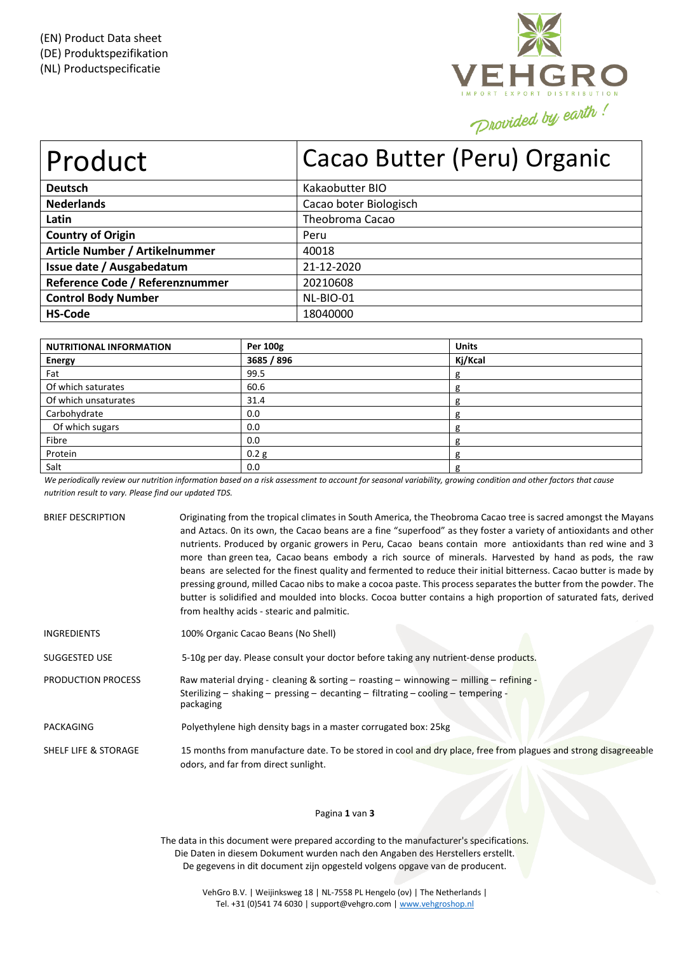

| Product                         | Cacao Butter (Peru) Organic |
|---------------------------------|-----------------------------|
| <b>Deutsch</b>                  | Kakaobutter BIO             |
| <b>Nederlands</b>               | Cacao boter Biologisch      |
| Latin                           | Theobroma Cacao             |
| <b>Country of Origin</b>        | Peru                        |
| Article Number / Artikelnummer  | 40018                       |
| Issue date / Ausgabedatum       | 21-12-2020                  |
| Reference Code / Referenznummer | 20210608                    |
| <b>Control Body Number</b>      | NL-BIO-01                   |
| <b>HS-Code</b>                  | 18040000                    |

| <b>NUTRITIONAL INFORMATION</b> | Per 100g         | <b>Units</b> |
|--------------------------------|------------------|--------------|
| <b>Energy</b>                  | 3685 / 896       | Kj/Kcal      |
| Fat                            | 99.5             | g            |
| Of which saturates             | 60.6             | g            |
| Of which unsaturates           | 31.4             |              |
| Carbohydrate                   | 0.0              |              |
| Of which sugars                | 0.0              |              |
| Fibre                          | 0.0              |              |
| Protein                        | 0.2 <sub>g</sub> | g            |
| Salt                           | 0.0              | g            |

We periodically review our nutrition information based on a risk assessment to account for seasonal variability, growing condition and other factors that cause *nutrition result to vary. Please find our updated TDS.*

| <b>BRIEF DESCRIPTION</b> | Originating from the tropical climates in South America, the Theobroma Cacao tree is sacred amongst the Mayans<br>and Aztacs. On its own, the Cacao beans are a fine "superfood" as they foster a variety of antioxidants and other<br>nutrients. Produced by organic growers in Peru, Cacao beans contain more antioxidants than red wine and 3<br>more than green tea, Cacao beans embody a rich source of minerals. Harvested by hand as pods, the raw<br>beans are selected for the finest quality and fermented to reduce their initial bitterness. Cacao butter is made by<br>pressing ground, milled Cacao nibs to make a cocoa paste. This process separates the butter from the powder. The<br>butter is solidified and moulded into blocks. Cocoa butter contains a high proportion of saturated fats, derived<br>from healthy acids - stearic and palmitic. |
|--------------------------|------------------------------------------------------------------------------------------------------------------------------------------------------------------------------------------------------------------------------------------------------------------------------------------------------------------------------------------------------------------------------------------------------------------------------------------------------------------------------------------------------------------------------------------------------------------------------------------------------------------------------------------------------------------------------------------------------------------------------------------------------------------------------------------------------------------------------------------------------------------------|
| <b>INGREDIENTS</b>       | 100% Organic Cacao Beans (No Shell)                                                                                                                                                                                                                                                                                                                                                                                                                                                                                                                                                                                                                                                                                                                                                                                                                                    |
| SUGGESTED USE            | 5-10g per day. Please consult your doctor before taking any nutrient-dense products.                                                                                                                                                                                                                                                                                                                                                                                                                                                                                                                                                                                                                                                                                                                                                                                   |
| PRODUCTION PROCESS       | Raw material drying - cleaning & sorting $-$ roasting $-$ winnowing $-$ milling $-$ refining -<br>Sterilizing – shaking – pressing – decanting – filtrating – cooling – tempering -<br>packaging                                                                                                                                                                                                                                                                                                                                                                                                                                                                                                                                                                                                                                                                       |
| PACKAGING                | Polyethylene high density bags in a master corrugated box: 25kg                                                                                                                                                                                                                                                                                                                                                                                                                                                                                                                                                                                                                                                                                                                                                                                                        |
| SHELF LIFE & STORAGE     | 15 months from manufacture date. To be stored in cool and dry place, free from plagues and strong disagreeable<br>odors, and far from direct sunlight.                                                                                                                                                                                                                                                                                                                                                                                                                                                                                                                                                                                                                                                                                                                 |

# Pagina **1** van **3**

The data in this document were prepared according to the manufacturer's specifications. Die Daten in diesem Dokument wurden nach den Angaben des Herstellers erstellt. De gegevens in dit document zijn opgesteld volgens opgave van de producent.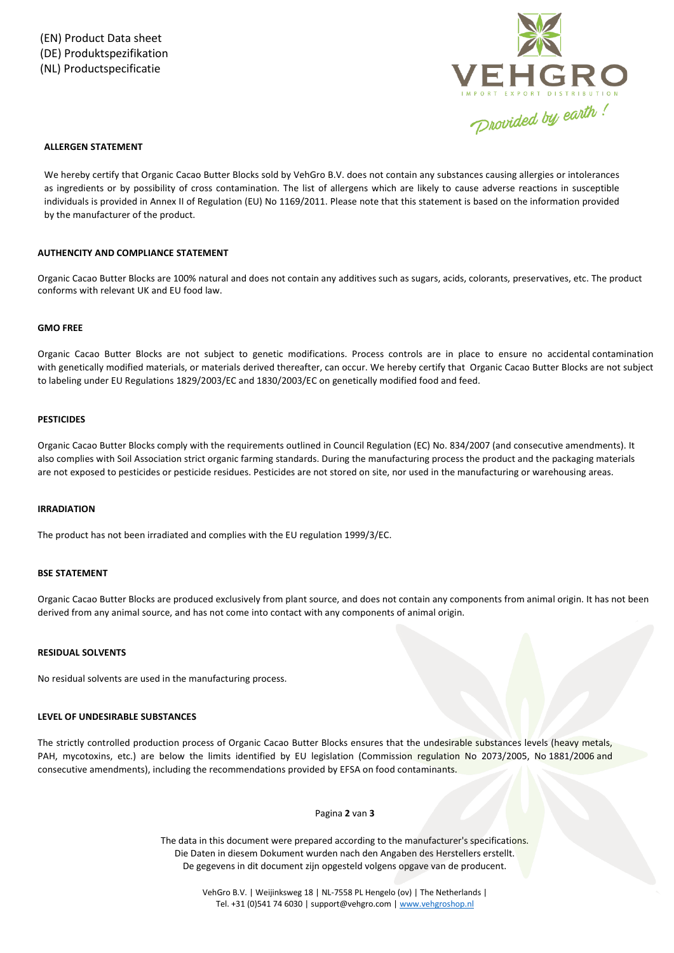

## **ALLERGEN STATEMENT**

We hereby certify that Organic Cacao Butter Blocks sold by VehGro B.V. does not contain any substances causing allergies or intolerances as ingredients or by possibility of cross contamination. The list of allergens which are likely to cause adverse reactions in susceptible individuals is provided in Annex II of Regulation (EU) No 1169/2011. Please note that this statement is based on the information provided by the manufacturer of the product.

## **AUTHENCITY AND COMPLIANCE STATEMENT**

Organic Cacao Butter Blocks are 100% natural and does not contain any additives such as sugars, acids, colorants, preservatives, etc. The product conforms with relevant UK and EU food law.

## **GMO FREE**

Organic Cacao Butter Blocks are not subject to genetic modifications. Process controls are in place to ensure no accidental contamination with genetically modified materials, or materials derived thereafter, can occur. We hereby certify that Organic Cacao Butter Blocks are not subject to labeling under EU Regulations 1829/2003/EC and 1830/2003/EC on genetically modified food and feed.

### **PESTICIDES**

Organic Cacao Butter Blocks comply with the requirements outlined in Council Regulation (EC) No. 834/2007 (and consecutive amendments). It also complies with Soil Association strict organic farming standards. During the manufacturing process the product and the packaging materials are not exposed to pesticides or pesticide residues. Pesticides are not stored on site, nor used in the manufacturing or warehousing areas.

#### **IRRADIATION**

The product has not been irradiated and complies with the EU regulation 1999/3/EC.

### **BSE STATEMENT**

Organic Cacao Butter Blocks are produced exclusively from plant source, and does not contain any components from animal origin. It has not been derived from any animal source, and has not come into contact with any components of animal origin.

# **RESIDUAL SOLVENTS**

No residual solvents are used in the manufacturing process.

#### **LEVEL OF UNDESIRABLE SUBSTANCES**

The strictly controlled production process of Organic Cacao Butter Blocks ensures that the undesirable substances levels (heavy metals, PAH, mycotoxins, etc.) are below the limits identified by EU legislation (Commission regulation No 2073/2005, No 1881/2006 and consecutive amendments), including the recommendations provided by EFSA on food contaminants.

#### Pagina **2** van **3**

The data in this document were prepared according to the manufacturer's specifications. Die Daten in diesem Dokument wurden nach den Angaben des Herstellers erstellt. De gegevens in dit document zijn opgesteld volgens opgave van de producent.

> VehGro B.V. | Weijinksweg 18 | NL-7558 PL Hengelo (ov) | The Netherlands | Tel. +31 (0)541 74 6030 | support@vehgro.com [| www.vehgroshop.nl](http://www.vehgroshop.nl/)